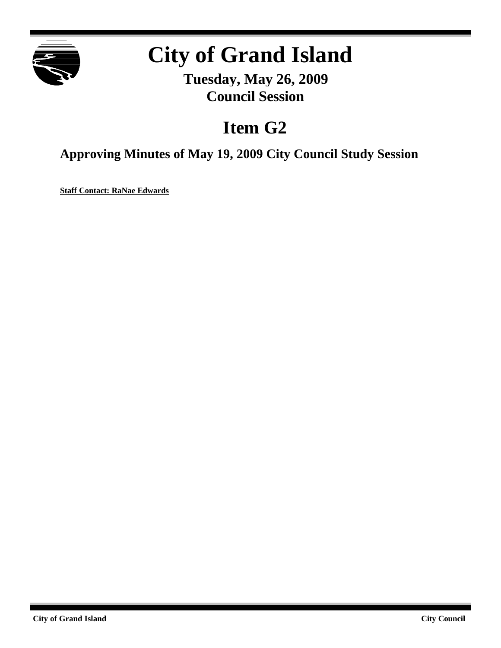

## **City of Grand Island**

**Tuesday, May 26, 2009 Council Session**

## **Item G2**

**Approving Minutes of May 19, 2009 City Council Study Session**

**Staff Contact: RaNae Edwards**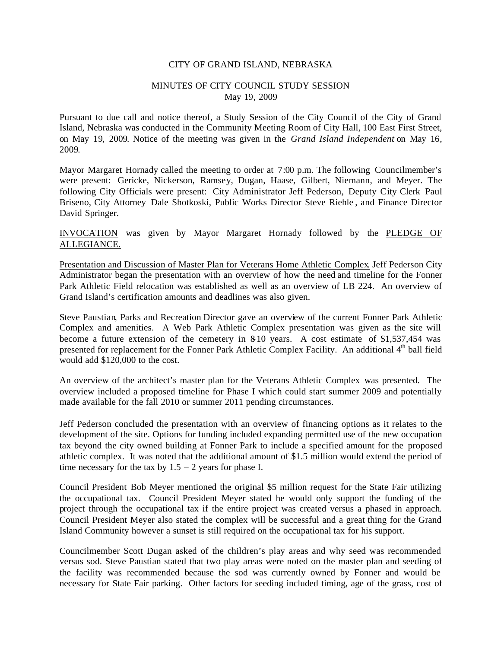## CITY OF GRAND ISLAND, NEBRASKA

## MINUTES OF CITY COUNCIL STUDY SESSION May 19, 2009

Pursuant to due call and notice thereof, a Study Session of the City Council of the City of Grand Island, Nebraska was conducted in the Community Meeting Room of City Hall, 100 East First Street, on May 19, 2009. Notice of the meeting was given in the *Grand Island Independent* on May 16, 2009.

Mayor Margaret Hornady called the meeting to order at 7:00 p.m. The following Councilmember's were present: Gericke, Nickerson, Ramsey, Dugan, Haase, Gilbert, Niemann, and Meyer. The following City Officials were present: City Administrator Jeff Pederson, Deputy City Clerk Paul Briseno, City Attorney Dale Shotkoski, Public Works Director Steve Riehle , and Finance Director David Springer.

INVOCATION was given by Mayor Margaret Hornady followed by the PLEDGE OF ALLEGIANCE.

Presentation and Discussion of Master Plan for Veterans Home Athletic Complex. Jeff Pederson City Administrator began the presentation with an overview of how the need and timeline for the Fonner Park Athletic Field relocation was established as well as an overview of LB 224. An overview of Grand Island's certification amounts and deadlines was also given.

Steve Paustian, Parks and Recreation Director gave an overview of the current Fonner Park Athletic Complex and amenities. A Web Park Athletic Complex presentation was given as the site will become a future extension of the cemetery in 8-10 years. A cost estimate of \$1,537,454 was presented for replacement for the Fonner Park Athletic Complex Facility. An additional 4<sup>th</sup> ball field would add \$120,000 to the cost.

An overview of the architect's master plan for the Veterans Athletic Complex was presented. The overview included a proposed timeline for Phase I which could start summer 2009 and potentially made available for the fall 2010 or summer 2011 pending circumstances.

Jeff Pederson concluded the presentation with an overview of financing options as it relates to the development of the site. Options for funding included expanding permitted use of the new occupation tax beyond the city owned building at Fonner Park to include a specified amount for the proposed athletic complex. It was noted that the additional amount of \$1.5 million would extend the period of time necessary for the tax by  $1.5 - 2$  years for phase I.

Council President Bob Meyer mentioned the original \$5 million request for the State Fair utilizing the occupational tax. Council President Meyer stated he would only support the funding of the project through the occupational tax if the entire project was created versus a phased in approach. Council President Meyer also stated the complex will be successful and a great thing for the Grand Island Community however a sunset is still required on the occupational tax for his support.

Councilmember Scott Dugan asked of the children's play areas and why seed was recommended versus sod. Steve Paustian stated that two play areas were noted on the master plan and seeding of the facility was recommended because the sod was currently owned by Fonner and would be necessary for State Fair parking. Other factors for seeding included timing, age of the grass, cost of